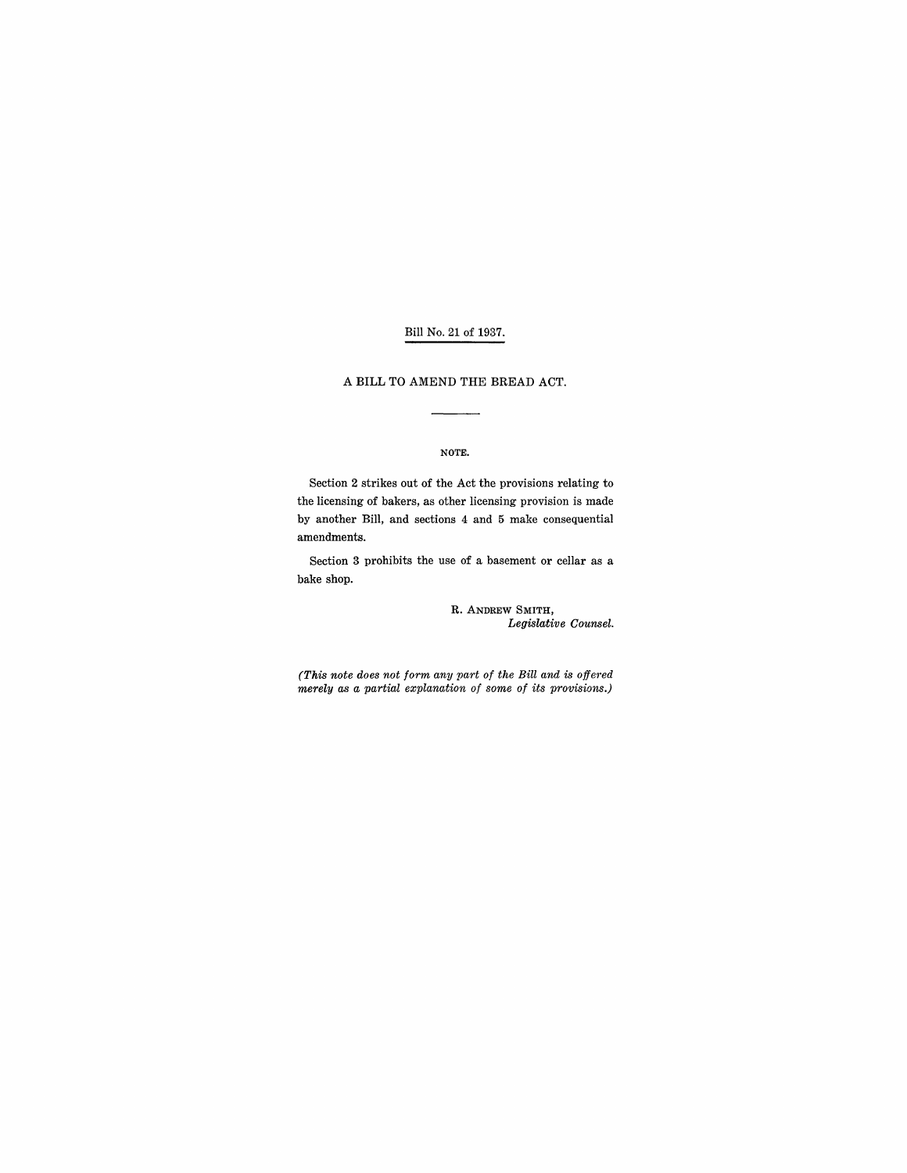## Bill No. 21 of 1937.

#### A BILL TO AMEND THE BREAD ACT.

#### NOTE.

Section 2 strikes out of the Act the provisions relating to the licensing of bakers, as other licensing provision is made by another Bill, and sections 4 and 5 make consequential amendments.

Section 3 prohibits the use of a basement or cellar as a bake shop.

> R. ANDREW SMITH, *Legislative Counsel.*

*(This note does not form any part of the Bill and is offered merely as a partial explanation of some of its provisions.)*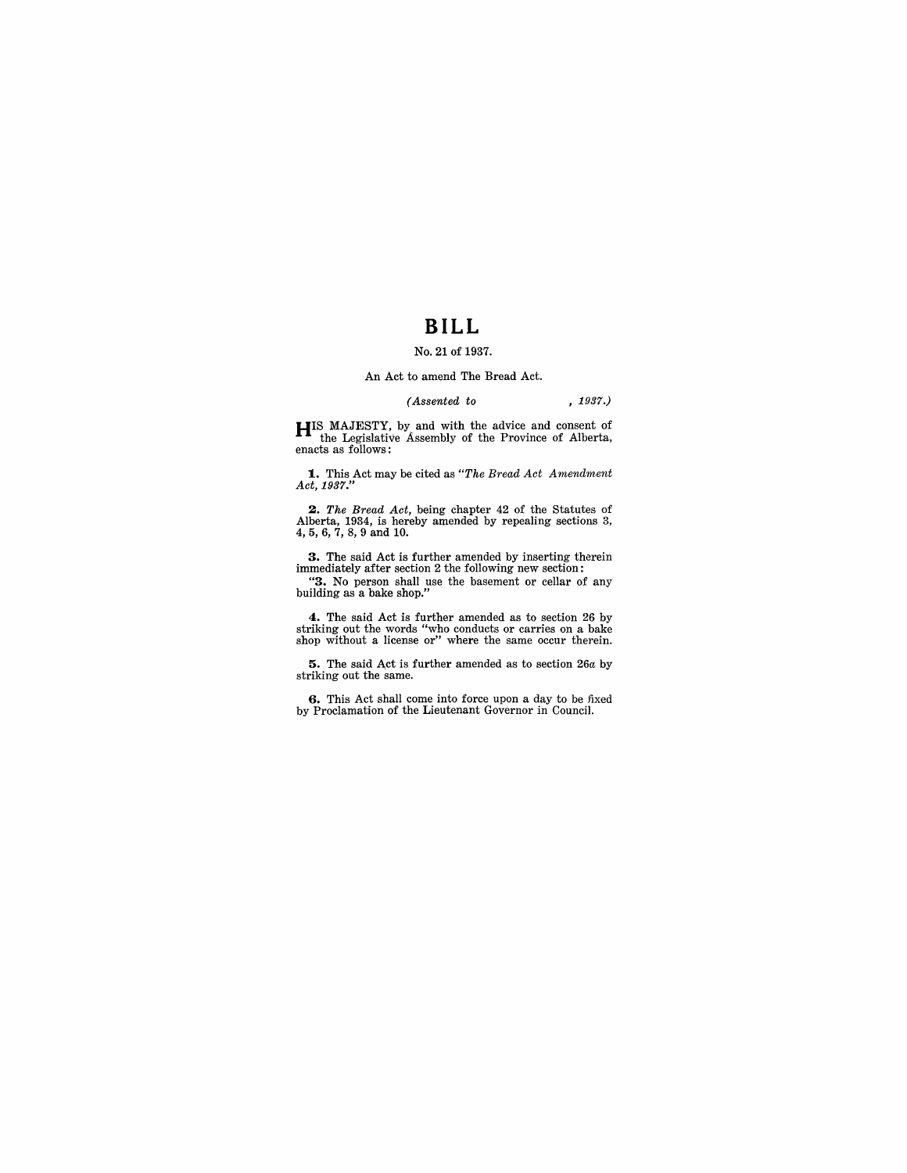# **BILL**

### No. 21 of 1937.

#### An Act to amend The Bread Act.

### *(Assented* to , 1937.)

HIS MAJESTY, by and with the advice and consent of the Legislative Assembly of the Province of Alberta, enacts as follows:

1.. This Act may be cited as *"The Bread Act Amendment Act,* 1937."

*2. The Bread Act,* being chapter 42 of the Statutes of Alberta, 1934, is hereby amended by repealing sections 3, 4,5,6,7,8,9 and 10.

3. The said Act is further amended by inserting therein immediately after section 2 the following new section:

"3. No person shall use the basement or cellar of any building as a bake shop."

4. The said Act is further amended as to section 26 by striking out the words "who conducts or carries on a bake shop without a license or" where the same occur therein.

5. The said Act is further amended as to section *26a* by striking out the same.

6. This Act shall come into force upon a day to be fixed by Proclamation of the Lieutenant Governor in Council.